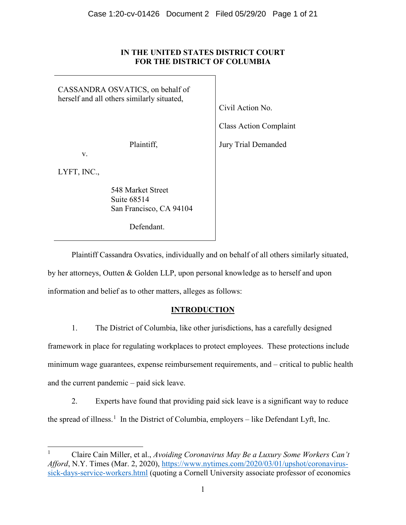### **IN THE UNITED STATES DISTRICT COURT FOR THE DISTRICT OF COLUMBIA**

CASSANDRA OSVATICS, on behalf of herself and all others similarly situated, Plaintiff, v. LYFT, INC., 548 Market Street Suite 68514 San Francisco, CA 94104 Defendant. Civil Action No. Class Action Complaint Jury Trial Demanded

Plaintiff Cassandra Osvatics, individually and on behalf of all others similarly situated, by her attorneys, Outten & Golden LLP, upon personal knowledge as to herself and upon information and belief as to other matters, alleges as follows:

## **INTRODUCTION**

1. The District of Columbia, like other jurisdictions, has a carefully designed framework in place for regulating workplaces to protect employees. These protections include minimum wage guarantees, expense reimbursement requirements, and – critical to public health and the current pandemic – paid sick leave.

2. Experts have found that providing paid sick leave is a significant way to reduce the spread of illness.<sup>[1](#page-0-0)</sup> In the District of Columbia, employers – like Defendant Lyft, Inc.

<span id="page-0-0"></span><sup>1</sup> Claire Cain Miller, et al., *Avoiding Coronavirus May Be a Luxury Some Workers Can't Afford*, N.Y. Times (Mar. 2, 2020), [https://www.nytimes.com/2020/03/01/upshot/coronavirus](https://www.nytimes.com/2020/03/01/upshot/coronavirus-sick-days-service-workers.html)[sick-days-service-workers.html](https://www.nytimes.com/2020/03/01/upshot/coronavirus-sick-days-service-workers.html) (quoting a Cornell University associate professor of economics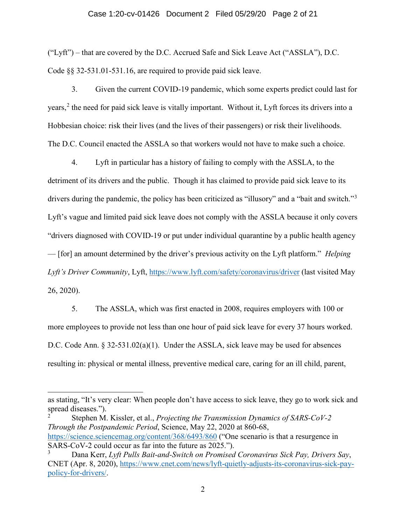### Case 1:20-cv-01426 Document 2 Filed 05/29/20 Page 2 of 21

("Lyft") – that are covered by the D.C. Accrued Safe and Sick Leave Act ("ASSLA"), D.C. Code §§ 32-531.01-531.16, are required to provide paid sick leave.

3. Given the current COVID-19 pandemic, which some experts predict could last for years,<sup>[2](#page-1-0)</sup> the need for paid sick leave is vitally important. Without it, Lyft forces its drivers into a Hobbesian choice: risk their lives (and the lives of their passengers) or risk their livelihoods. The D.C. Council enacted the ASSLA so that workers would not have to make such a choice.

4. Lyft in particular has a history of failing to comply with the ASSLA, to the detriment of its drivers and the public. Though it has claimed to provide paid sick leave to its drivers during the pandemic, the policy has been criticized as "illusory" and a "bait and switch."<sup>[3](#page-1-1)</sup> Lyft's vague and limited paid sick leave does not comply with the ASSLA because it only covers "drivers diagnosed with COVID-19 or put under individual quarantine by a public health agency — [for] an amount determined by the driver's previous activity on the Lyft platform." *Helping Lyft's Driver Community*, Lyft, <https://www.lyft.com/safety/coronavirus/driver> (last visited May 26, 2020).

5. The ASSLA, which was first enacted in 2008, requires employers with 100 or more employees to provide not less than one hour of paid sick leave for every 37 hours worked. D.C. Code Ann. § 32-531.02(a)(1). Under the ASSLA, sick leave may be used for absences resulting in: physical or mental illness, preventive medical care, caring for an ill child, parent,

<span id="page-1-0"></span><sup>2</sup> Stephen M. Kissler, et al., *Projecting the Transmission Dynamics of SARS-CoV-2 Through the Postpandemic Period*, Science, May 22, 2020 at 860-68, <https://science.sciencemag.org/content/368/6493/860> ("One scenario is that a resurgence in SARS-CoV-2 could occur as far into the future as 2025.").

-

as stating, "It's very clear: When people don't have access to sick leave, they go to work sick and spread diseases.").

<span id="page-1-1"></span><sup>3</sup> Dana Kerr, *Lyft Pulls Bait-and-Switch on Promised Coronavirus Sick Pay, Drivers Say*, CNET (Apr. 8, 2020), [https://www.cnet.com/news/lyft-quietly-adjusts-its-coronavirus-sick-pay](https://www.cnet.com/news/lyft-quietly-adjusts-its-coronavirus-sick-pay-policy-for-drivers/)[policy-for-drivers/.](https://www.cnet.com/news/lyft-quietly-adjusts-its-coronavirus-sick-pay-policy-for-drivers/)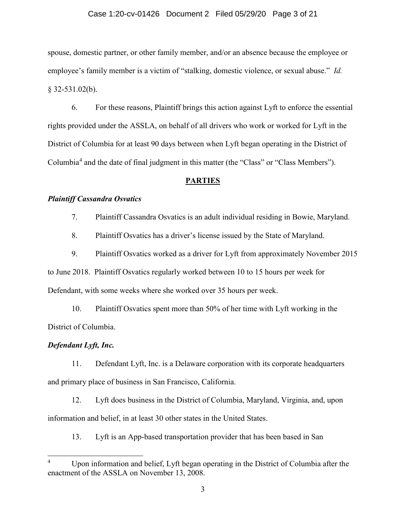### Case 1:20-cv-01426 Document 2 Filed 05/29/20 Page 3 of 21

spouse, domestic partner, or other family member, and/or an absence because the employee or employee's family member is a victim of "stalking, domestic violence, or sexual abuse." *Id.*  § 32-531.02(b).

6. For these reasons, Plaintiff brings this action against Lyft to enforce the essential rights provided under the ASSLA, on behalf of all drivers who work or worked for Lyft in the District of Columbia for at least 90 days between when Lyft began operating in the District of Columbia<sup>[4](#page-2-0)</sup> and the date of final judgment in this matter (the "Class" or "Class Members").

### **PARTIES**

### *Plaintiff Cassandra Osvatics*

7. Plaintiff Cassandra Osvatics is an adult individual residing in Bowie, Maryland.

8. Plaintiff Osvatics has a driver's license issued by the State of Maryland.

9. Plaintiff Osvatics worked as a driver for Lyft from approximately November 2015 to June 2018. Plaintiff Osvatics regularly worked between 10 to 15 hours per week for Defendant, with some weeks where she worked over 35 hours per week.

10. Plaintiff Osvatics spent more than 50% of her time with Lyft working in the District of Columbia.

### *Defendant Lyft, Inc.*

l

11. Defendant Lyft, Inc. is a Delaware corporation with its corporate headquarters and primary place of business in San Francisco, California.

12. Lyft does business in the District of Columbia, Maryland, Virginia, and, upon information and belief, in at least 30 other states in the United States.

13. Lyft is an App-based transportation provider that has been based in San

<span id="page-2-0"></span>Upon information and belief, Lyft began operating in the District of Columbia after the enactment of the ASSLA on November 13, 2008.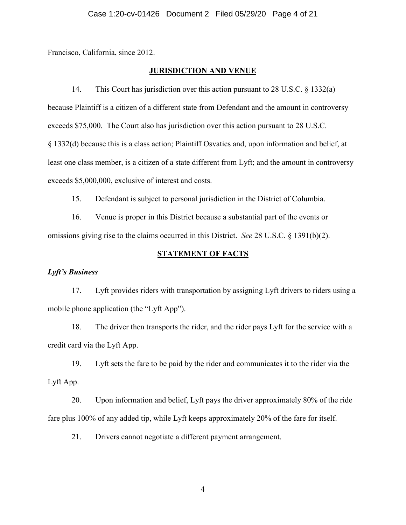Francisco, California, since 2012.

### **JURISDICTION AND VENUE**

14. This Court has jurisdiction over this action pursuant to 28 U.S.C. § 1332(a) because Plaintiff is a citizen of a different state from Defendant and the amount in controversy exceeds \$75,000. The Court also has jurisdiction over this action pursuant to 28 U.S.C. § 1332(d) because this is a class action; Plaintiff Osvatics and, upon information and belief, at least one class member, is a citizen of a state different from Lyft; and the amount in controversy exceeds \$5,000,000, exclusive of interest and costs.

15. Defendant is subject to personal jurisdiction in the District of Columbia.

16. Venue is proper in this District because a substantial part of the events or omissions giving rise to the claims occurred in this District. *See* 28 U.S.C. § 1391(b)(2).

### **STATEMENT OF FACTS**

### *Lyft's Business*

17. Lyft provides riders with transportation by assigning Lyft drivers to riders using a mobile phone application (the "Lyft App").

18. The driver then transports the rider, and the rider pays Lyft for the service with a credit card via the Lyft App.

19. Lyft sets the fare to be paid by the rider and communicates it to the rider via the Lyft App.

20. Upon information and belief, Lyft pays the driver approximately 80% of the ride fare plus 100% of any added tip, while Lyft keeps approximately 20% of the fare for itself.

21. Drivers cannot negotiate a different payment arrangement.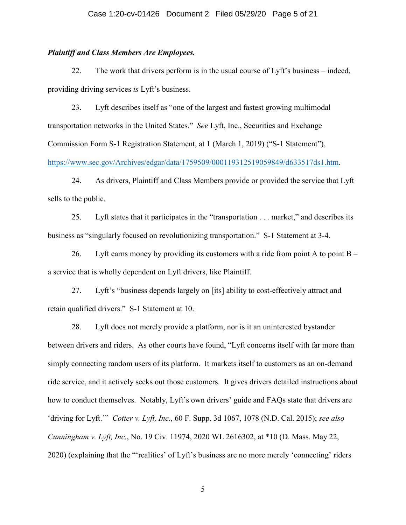### *Plaintiff and Class Members Are Employees.*

22. The work that drivers perform is in the usual course of Lyft's business – indeed, providing driving services *is* Lyft's business.

23. Lyft describes itself as "one of the largest and fastest growing multimodal transportation networks in the United States." *See* Lyft, Inc., Securities and Exchange Commission Form S-1 Registration Statement, at 1 (March 1, 2019) ("S-1 Statement"),

[https://www.sec.gov/Archives/edgar/data/1759509/000119312519059849/d633517ds1.htm.](https://www.sec.gov/Archives/edgar/data/1759509/000119312519059849/d633517ds1.htm)

24. As drivers, Plaintiff and Class Members provide or provided the service that Lyft sells to the public.

25. Lyft states that it participates in the "transportation . . . market," and describes its business as "singularly focused on revolutionizing transportation." S-1 Statement at 3-4.

26. Lyft earns money by providing its customers with a ride from point A to point B – a service that is wholly dependent on Lyft drivers, like Plaintiff.

27. Lyft's "business depends largely on [its] ability to cost-effectively attract and retain qualified drivers." S-1 Statement at 10.

28. Lyft does not merely provide a platform, nor is it an uninterested bystander between drivers and riders. As other courts have found, "Lyft concerns itself with far more than simply connecting random users of its platform. It markets itself to customers as an on-demand ride service, and it actively seeks out those customers. It gives drivers detailed instructions about how to conduct themselves. Notably, Lyft's own drivers' guide and FAQs state that drivers are 'driving for Lyft.'" *Cotter v. Lyft, Inc.*, 60 F. Supp. 3d 1067, 1078 (N.D. Cal. 2015); *see also Cunningham v. Lyft, Inc.*, No. 19 Civ. 11974, 2020 WL 2616302, at \*10 (D. Mass. May 22, 2020) (explaining that the "'realities' of Lyft's business are no more merely 'connecting' riders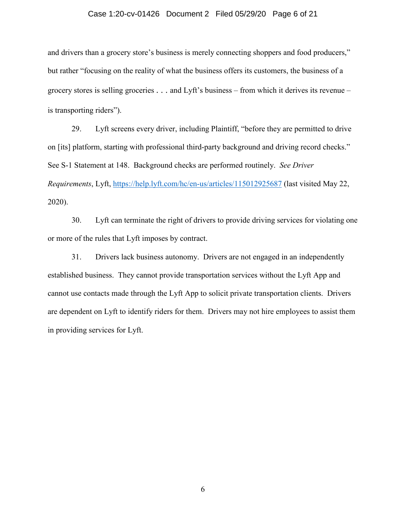### Case 1:20-cv-01426 Document 2 Filed 05/29/20 Page 6 of 21

and drivers than a grocery store's business is merely connecting shoppers and food producers," but rather "focusing on the reality of what the business offers its customers, the business of a grocery stores is selling groceries . . . and Lyft's business – from which it derives its revenue – is transporting riders").

29. Lyft screens every driver, including Plaintiff, "before they are permitted to drive on [its] platform, starting with professional third-party background and driving record checks." See S-1 Statement at 148. Background checks are performed routinely. *See Driver Requirements*, Lyft, <https://help.lyft.com/hc/en-us/articles/115012925687> (last visited May 22, 2020).

30. Lyft can terminate the right of drivers to provide driving services for violating one or more of the rules that Lyft imposes by contract.

31. Drivers lack business autonomy. Drivers are not engaged in an independently established business. They cannot provide transportation services without the Lyft App and cannot use contacts made through the Lyft App to solicit private transportation clients. Drivers are dependent on Lyft to identify riders for them. Drivers may not hire employees to assist them in providing services for Lyft.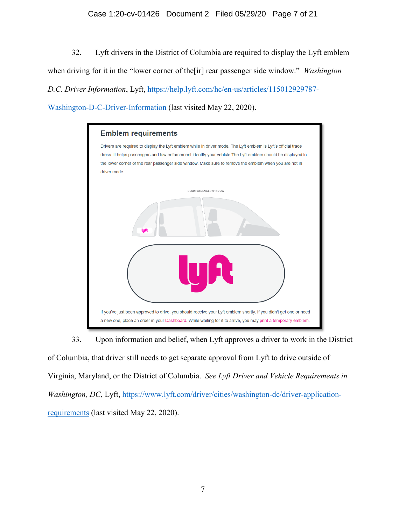### Case 1:20-cv-01426 Document 2 Filed 05/29/20 Page 7 of 21

32. Lyft drivers in the District of Columbia are required to display the Lyft emblem when driving for it in the "lower corner of the[ir] rear passenger side window." *Washington D.C. Driver Information*, Lyft, [https://help.lyft.com/hc/en-us/articles/115012929787-](https://help.lyft.com/hc/en-us/articles/115012929787-Washington-D-C-Driver-Information) [Washington-D-C-Driver-Information](https://help.lyft.com/hc/en-us/articles/115012929787-Washington-D-C-Driver-Information) (last visited May 22, 2020).

| <b>Emblem requirements</b>                                                                                                                                                                                                     |
|--------------------------------------------------------------------------------------------------------------------------------------------------------------------------------------------------------------------------------|
| Drivers are required to display the Lyft emblem while in driver mode. The Lyft emblem is Lyft's official trade<br>dress. It helps passengers and law enforcement identify your vehicle. The Lyft emblem should be displayed in |
| the lower corner of the rear passenger side window. Make sure to remove the emblem when you are not in                                                                                                                         |
| driver mode.                                                                                                                                                                                                                   |
|                                                                                                                                                                                                                                |
| <b>REAR PASSENGER WINDOW</b>                                                                                                                                                                                                   |
|                                                                                                                                                                                                                                |
|                                                                                                                                                                                                                                |
|                                                                                                                                                                                                                                |
| If you've just been approved to drive, you should receive your Lyft emblem shortly. If you didn't get one or need                                                                                                              |
| a new one, place an order in your Dashboard. While waiting for it to arrive, you may print a temporary emblem.                                                                                                                 |

33. Upon information and belief, when Lyft approves a driver to work in the District

of Columbia, that driver still needs to get separate approval from Lyft to drive outside of Virginia, Maryland, or the District of Columbia. *See Lyft Driver and Vehicle Requirements in Washington, DC*, Lyft, [https://www.lyft.com/driver/cities/washington-dc/driver-application](https://www.lyft.com/driver/cities/washington-dc/driver-application-requirements)[requirements](https://www.lyft.com/driver/cities/washington-dc/driver-application-requirements) (last visited May 22, 2020).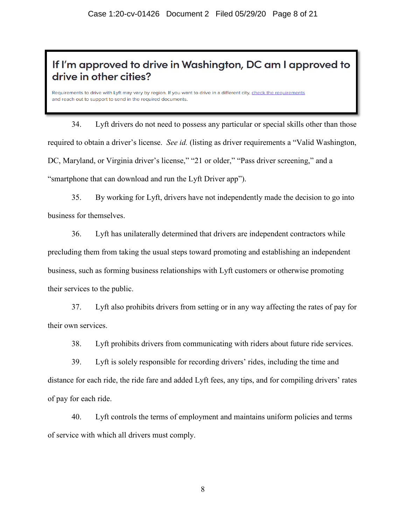# If I'm approved to drive in Washington, DC am I approved to drive in other cities?

Requirements to drive with Lyft may vary by region. If you want to drive in a different city, check the requirements support to send in the required documents.

34. Lyft drivers do not need to possess any particular or special skills other than those required to obtain a driver's license. *See id.* (listing as driver requirements a "Valid Washington, DC, Maryland, or Virginia driver's license," "21 or older," "Pass driver screening," and a "smartphone that can download and run the Lyft Driver app").

35. By working for Lyft, drivers have not independently made the decision to go into business for themselves.

36. Lyft has unilaterally determined that drivers are independent contractors while precluding them from taking the usual steps toward promoting and establishing an independent business, such as forming business relationships with Lyft customers or otherwise promoting their services to the public.

37. Lyft also prohibits drivers from setting or in any way affecting the rates of pay for their own services.

38. Lyft prohibits drivers from communicating with riders about future ride services.

39. Lyft is solely responsible for recording drivers' rides, including the time and distance for each ride, the ride fare and added Lyft fees, any tips, and for compiling drivers' rates of pay for each ride.

40. Lyft controls the terms of employment and maintains uniform policies and terms of service with which all drivers must comply.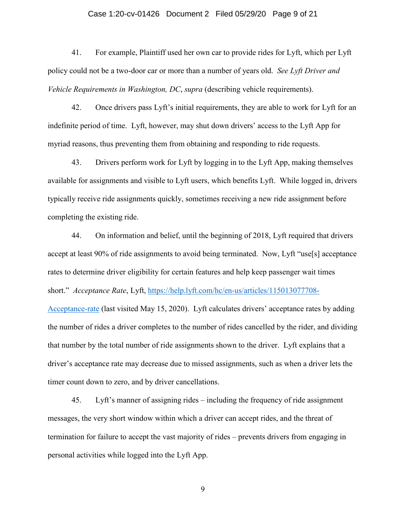### Case 1:20-cv-01426 Document 2 Filed 05/29/20 Page 9 of 21

41. For example, Plaintiff used her own car to provide rides for Lyft, which per Lyft policy could not be a two-door car or more than a number of years old. *See Lyft Driver and Vehicle Requirements in Washington, DC, supra (describing vehicle requirements).* 

42. Once drivers pass Lyft's initial requirements, they are able to work for Lyft for an indefinite period of time. Lyft, however, may shut down drivers' access to the Lyft App for myriad reasons, thus preventing them from obtaining and responding to ride requests.

43. Drivers perform work for Lyft by logging in to the Lyft App, making themselves available for assignments and visible to Lyft users, which benefits Lyft. While logged in, drivers typically receive ride assignments quickly, sometimes receiving a new ride assignment before completing the existing ride.

44. On information and belief, until the beginning of 2018, Lyft required that drivers accept at least 90% of ride assignments to avoid being terminated. Now, Lyft "use[s] acceptance rates to determine driver eligibility for certain features and help keep passenger wait times short." *Acceptance Rate*, Lyft, [https://help.lyft.com/hc/en-us/articles/115013077708-](https://help.lyft.com/hc/en-us/articles/115013077708-Acceptance-rate) [Acceptance-rate](https://help.lyft.com/hc/en-us/articles/115013077708-Acceptance-rate) (last visited May 15, 2020). Lyft calculates drivers' acceptance rates by adding the number of rides a driver completes to the number of rides cancelled by the rider, and dividing that number by the total number of ride assignments shown to the driver. Lyft explains that a driver's acceptance rate may decrease due to missed assignments, such as when a driver lets the timer count down to zero, and by driver cancellations.

45. Lyft's manner of assigning rides – including the frequency of ride assignment messages, the very short window within which a driver can accept rides, and the threat of termination for failure to accept the vast majority of rides – prevents drivers from engaging in personal activities while logged into the Lyft App.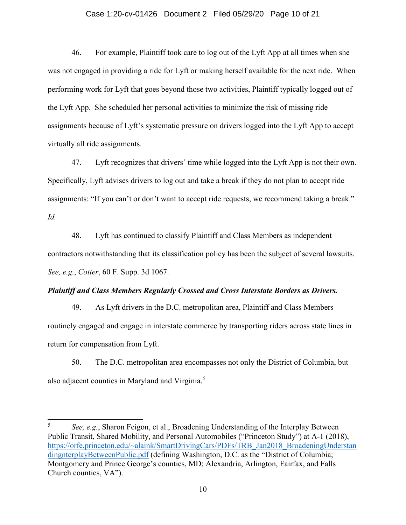#### Case 1:20-cv-01426 Document 2 Filed 05/29/20 Page 10 of 21

46. For example, Plaintiff took care to log out of the Lyft App at all times when she was not engaged in providing a ride for Lyft or making herself available for the next ride. When performing work for Lyft that goes beyond those two activities, Plaintiff typically logged out of the Lyft App. She scheduled her personal activities to minimize the risk of missing ride assignments because of Lyft's systematic pressure on drivers logged into the Lyft App to accept virtually all ride assignments.

47. Lyft recognizes that drivers' time while logged into the Lyft App is not their own. Specifically, Lyft advises drivers to log out and take a break if they do not plan to accept ride assignments: "If you can't or don't want to accept ride requests, we recommend taking a break." *Id.*

48. Lyft has continued to classify Plaintiff and Class Members as independent contractors notwithstanding that its classification policy has been the subject of several lawsuits. *See, e.g.*, *Cotter*, 60 F. Supp. 3d 1067.

### *Plaintiff and Class Members Regularly Crossed and Cross Interstate Borders as Drivers.*

49. As Lyft drivers in the D.C. metropolitan area, Plaintiff and Class Members routinely engaged and engage in interstate commerce by transporting riders across state lines in return for compensation from Lyft.

50. The D.C. metropolitan area encompasses not only the District of Columbia, but also adjacent counties in Maryland and Virginia.<sup>[5](#page-9-0)</sup>

j

<span id="page-9-0"></span><sup>5</sup> *See, e.g.*, Sharon Feigon, et al., Broadening Understanding of the Interplay Between Public Transit, Shared Mobility, and Personal Automobiles ("Princeton Study") at A-1 (2018), [https://orfe.princeton.edu/~alaink/SmartDrivingCars/PDFs/TRB\\_Jan2018\\_BroadeningUnderstan](https://orfe.princeton.edu/%7Ealaink/SmartDrivingCars/PDFs/TRB_Jan2018_BroadeningUnderstandingnterplayBetweenPublic.pdf) [dingnterplayBetweenPublic.pdf](https://orfe.princeton.edu/%7Ealaink/SmartDrivingCars/PDFs/TRB_Jan2018_BroadeningUnderstandingnterplayBetweenPublic.pdf) (defining Washington, D.C. as the "District of Columbia; Montgomery and Prince George's counties, MD; Alexandria, Arlington, Fairfax, and Falls Church counties, VA").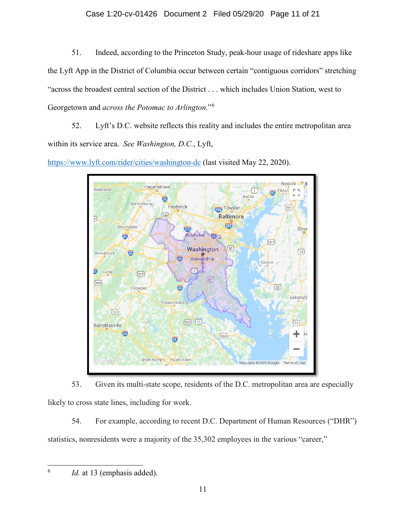### Case 1:20-cv-01426 Document 2 Filed 05/29/20 Page 11 of 21

51. Indeed, according to the Princeton Study, peak-hour usage of rideshare apps like the Lyft App in the District of Columbia occur between certain "contiguous corridors" stretching "across the broadest central section of the District . . . which includes Union Station, west to Georgetown and *across the Potomac to Arlington*."[6](#page-10-0)

52. Lyft's D.C. website reflects this reality and includes the entire metropolitan area within its service area. *See Washington, D.C.*, Lyft,

<https://www.lyft.com/rider/cities/washington-dc> (last visited May 22, 2020).



53. Given its multi-state scope, residents of the D.C. metropolitan area are especially likely to cross state lines, including for work.

54. For example, according to recent D.C. Department of Human Resources ("DHR") statistics, nonresidents were a majority of the 35,302 employees in the various "career,"

<span id="page-10-0"></span> $\overline{6}$ 

*Id.* at 13 (emphasis added).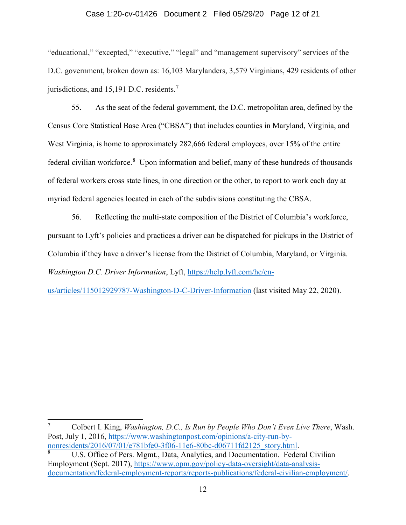### Case 1:20-cv-01426 Document 2 Filed 05/29/20 Page 12 of 21

"educational," "excepted," "executive," "legal" and "management supervisory" services of the D.C. government, broken down as: 16,103 Marylanders, 3,579 Virginians, 429 residents of other jurisdictions, and 15,191 D.C. residents.<sup>[7](#page-11-0)</sup>

55. As the seat of the federal government, the D.C. metropolitan area, defined by the Census Core Statistical Base Area ("CBSA") that includes counties in Maryland, Virginia, and West Virginia, is home to approximately 282,666 federal employees, over 15% of the entire federal civilian workforce.<sup>[8](#page-11-1)</sup> Upon information and belief, many of these hundreds of thousands of federal workers cross state lines, in one direction or the other, to report to work each day at myriad federal agencies located in each of the subdivisions constituting the CBSA.

56. Reflecting the multi-state composition of the District of Columbia's workforce, pursuant to Lyft's policies and practices a driver can be dispatched for pickups in the District of Columbia if they have a driver's license from the District of Columbia, Maryland, or Virginia. *Washington D.C. Driver Information*, Lyft, [https://help.lyft.com/hc/en-](https://help.lyft.com/hc/en-us/articles/115012929787-Washington-D-C-Driver-Information)

[us/articles/115012929787-Washington-D-C-Driver-Information](https://help.lyft.com/hc/en-us/articles/115012929787-Washington-D-C-Driver-Information) (last visited May 22, 2020).

j

<span id="page-11-0"></span><sup>7</sup> Colbert I. King, *Washington, D.C., Is Run by People Who Don't Even Live There*, Wash. Post, July 1, 2016, [https://www.washingtonpost.com/opinions/a-city-run-by](https://www.washingtonpost.com/opinions/a-city-run-by-nonresidents/2016/07/01/e781bfe0-3f06-11e6-80bc-d06711fd2125_story.html)[nonresidents/2016/07/01/e781bfe0-3f06-11e6-80bc-d06711fd2125\\_story.html.](https://www.washingtonpost.com/opinions/a-city-run-by-nonresidents/2016/07/01/e781bfe0-3f06-11e6-80bc-d06711fd2125_story.html)

<span id="page-11-1"></span><sup>8</sup> U.S. Office of Pers. Mgmt., Data, Analytics, and Documentation. Federal Civilian Employment (Sept. 2017), [https://www.opm.gov/policy-data-oversight/data-analysis](https://www.opm.gov/policy-data-oversight/data-analysis-documentation/federal-employment-reports/reports-publications/federal-civilian-employment/)[documentation/federal-employment-reports/reports-publications/federal-civilian-employment/.](https://www.opm.gov/policy-data-oversight/data-analysis-documentation/federal-employment-reports/reports-publications/federal-civilian-employment/)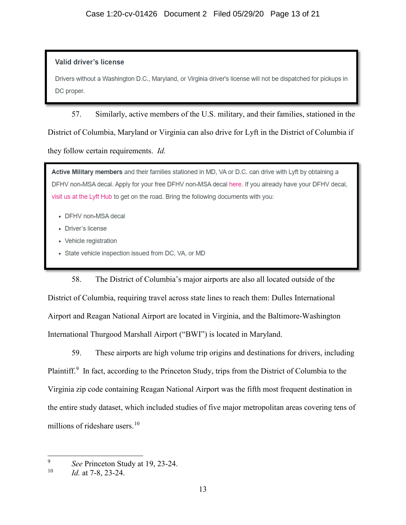### **Valid driver's license**

Drivers without a Washington D.C., Maryland, or Virginia driver's license will not be dispatched for pickups in DC proper.

57. Similarly, active members of the U.S. military, and their families, stationed in the District of Columbia, Maryland or Virginia can also drive for Lyft in the District of Columbia if they follow certain requirements. *Id.*

Active Military members and their families stationed in MD, VA or D.C. can drive with Lyft by obtaining a DFHV non-MSA decal. Apply for your free DFHV non-MSA decal here. If you already have your DFHV decal, visit us at the Lyft Hub to get on the road. Bring the following documents with you:

- DFHV non-MSA decal
- Driver's license
- Vehicle registration
- State vehicle inspection issued from DC, VA, or MD

58. The District of Columbia's major airports are also all located outside of the District of Columbia, requiring travel across state lines to reach them: Dulles International Airport and Reagan National Airport are located in Virginia, and the Baltimore-Washington International Thurgood Marshall Airport ("BWI") is located in Maryland.

59. These airports are high volume trip origins and destinations for drivers, including Plaintiff.<sup>[9](#page-12-0)</sup> In fact, according to the Princeton Study, trips from the District of Columbia to the Virginia zip code containing Reagan National Airport was the fifth most frequent destination in the entire study dataset, which included studies of five major metropolitan areas covering tens of millions of rideshare users.<sup>[10](#page-12-1)</sup>

<span id="page-12-0"></span><sup>9</sup> <sup>9</sup> *See* Princeton Study at 19, 23-24. 10 *Id.* at 7-8, 23-24.

<span id="page-12-1"></span>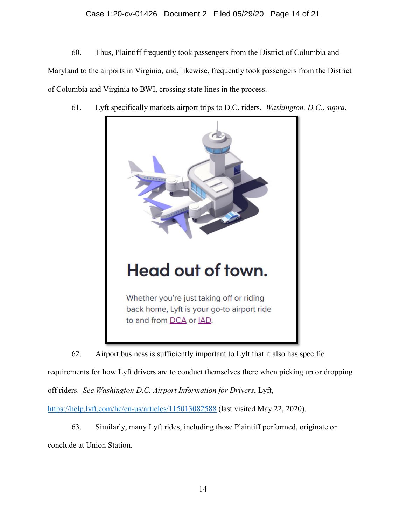### Case 1:20-cv-01426 Document 2 Filed 05/29/20 Page 14 of 21

60. Thus, Plaintiff frequently took passengers from the District of Columbia and Maryland to the airports in Virginia, and, likewise, frequently took passengers from the District of Columbia and Virginia to BWI, crossing state lines in the process.

61. Lyft specifically markets airport trips to D.C. riders. *Washington, D.C.*, *supra*.



62. Airport business is sufficiently important to Lyft that it also has specific requirements for how Lyft drivers are to conduct themselves there when picking up or dropping off riders. *See Washington D.C. Airport Information for Drivers*, Lyft,

<https://help.lyft.com/hc/en-us/articles/115013082588> (last visited May 22, 2020).

63. Similarly, many Lyft rides, including those Plaintiff performed, originate or conclude at Union Station.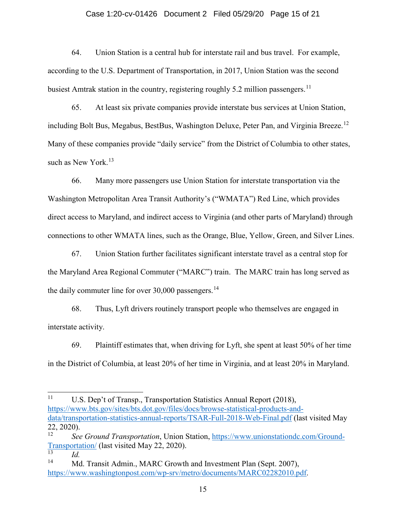### Case 1:20-cv-01426 Document 2 Filed 05/29/20 Page 15 of 21

64. Union Station is a central hub for interstate rail and bus travel. For example, according to the U.S. Department of Transportation, in 2017, Union Station was the second busiest Amtrak station in the country, registering roughly 5.2 million passengers.<sup>11</sup>

65. At least six private companies provide interstate bus services at Union Station, including Bolt Bus, Megabus, BestBus, Washington Deluxe, Peter Pan, and Virginia Breeze.<sup>[12](#page-14-1)</sup> Many of these companies provide "daily service" from the District of Columbia to other states, such as New York.<sup>[13](#page-14-2)</sup>

66. Many more passengers use Union Station for interstate transportation via the Washington Metropolitan Area Transit Authority's ("WMATA") Red Line, which provides direct access to Maryland, and indirect access to Virginia (and other parts of Maryland) through connections to other WMATA lines, such as the Orange, Blue, Yellow, Green, and Silver Lines.

67. Union Station further facilitates significant interstate travel as a central stop for the Maryland Area Regional Commuter ("MARC") train. The MARC train has long served as the daily commuter line for over  $30,000$  passengers.<sup>[14](#page-14-3)</sup>

68. Thus, Lyft drivers routinely transport people who themselves are engaged in interstate activity.

69. Plaintiff estimates that, when driving for Lyft, she spent at least 50% of her time in the District of Columbia, at least 20% of her time in Virginia, and at least 20% in Maryland.

<span id="page-14-0"></span> $11\,$ U.S. Dep't of Transp., Transportation Statistics Annual Report (2018), [https://www.bts.gov/sites/bts.dot.gov/files/docs/browse-statistical-products-and](https://www.bts.gov/sites/bts.dot.gov/files/docs/browse-statistical-products-and-data/transportation-statistics-annual-reports/TSAR-Full-2018-Web-Final.pdf)[data/transportation-statistics-annual-reports/TSAR-Full-2018-Web-Final.pdf](https://www.bts.gov/sites/bts.dot.gov/files/docs/browse-statistical-products-and-data/transportation-statistics-annual-reports/TSAR-Full-2018-Web-Final.pdf) (last visited May  $22, 2020$ ).

<span id="page-14-1"></span><sup>12</sup> *See Ground Transportation*, Union Station, [https://www.unionstationdc.com/Ground-](https://www.unionstationdc.com/Ground-Transportation/) $\frac{\text{Transportation}}{\text{13}}$  (last visited May 22, 2020).

<span id="page-14-3"></span><span id="page-14-2"></span> $\frac{13}{14}$  *Id.* Md. Transit Admin., MARC Growth and Investment Plan (Sept. 2007), [https://www.washingtonpost.com/wp-srv/metro/documents/MARC02282010.pdf.](https://www.washingtonpost.com/wp-srv/metro/documents/MARC02282010.pdf)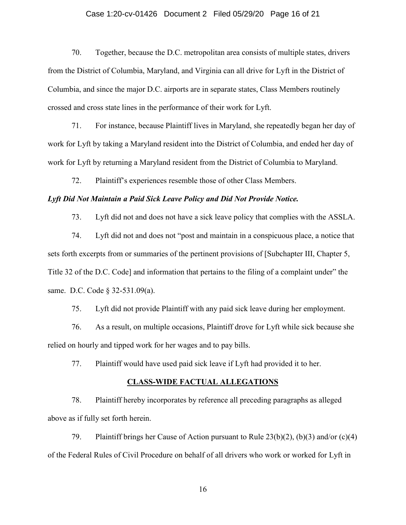### Case 1:20-cv-01426 Document 2 Filed 05/29/20 Page 16 of 21

70. Together, because the D.C. metropolitan area consists of multiple states, drivers from the District of Columbia, Maryland, and Virginia can all drive for Lyft in the District of Columbia, and since the major D.C. airports are in separate states, Class Members routinely crossed and cross state lines in the performance of their work for Lyft.

71. For instance, because Plaintiff lives in Maryland, she repeatedly began her day of work for Lyft by taking a Maryland resident into the District of Columbia, and ended her day of work for Lyft by returning a Maryland resident from the District of Columbia to Maryland.

72. Plaintiff's experiences resemble those of other Class Members.

### *Lyft Did Not Maintain a Paid Sick Leave Policy and Did Not Provide Notice.*

73. Lyft did not and does not have a sick leave policy that complies with the ASSLA.

74. Lyft did not and does not "post and maintain in a conspicuous place, a notice that sets forth excerpts from or summaries of the pertinent provisions of [Subchapter III, Chapter 5, Title 32 of the D.C. Code] and information that pertains to the filing of a complaint under" the same. D.C. Code § 32-531.09(a).

75. Lyft did not provide Plaintiff with any paid sick leave during her employment.

76. As a result, on multiple occasions, Plaintiff drove for Lyft while sick because she relied on hourly and tipped work for her wages and to pay bills.

77. Plaintiff would have used paid sick leave if Lyft had provided it to her.

#### **CLASS-WIDE FACTUAL ALLEGATIONS**

78. Plaintiff hereby incorporates by reference all preceding paragraphs as alleged above as if fully set forth herein.

79. Plaintiff brings her Cause of Action pursuant to Rule  $23(b)(2)$ ,  $(b)(3)$  and/or  $(c)(4)$ of the Federal Rules of Civil Procedure on behalf of all drivers who work or worked for Lyft in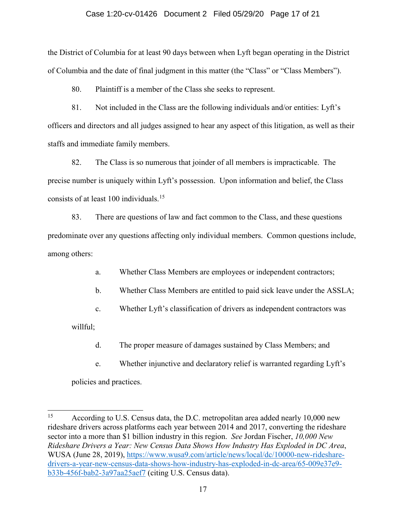### Case 1:20-cv-01426 Document 2 Filed 05/29/20 Page 17 of 21

the District of Columbia for at least 90 days between when Lyft began operating in the District of Columbia and the date of final judgment in this matter (the "Class" or "Class Members").

80. Plaintiff is a member of the Class she seeks to represent.

81. Not included in the Class are the following individuals and/or entities: Lyft's officers and directors and all judges assigned to hear any aspect of this litigation, as well as their staffs and immediate family members.

82. The Class is so numerous that joinder of all members is impracticable. The precise number is uniquely within Lyft's possession. Upon information and belief, the Class consists of at least 100 individuals. [15](#page-16-0) 

83. There are questions of law and fact common to the Class, and these questions predominate over any questions affecting only individual members. Common questions include, among others:

a. Whether Class Members are employees or independent contractors;

b. Whether Class Members are entitled to paid sick leave under the ASSLA;

c. Whether Lyft's classification of drivers as independent contractors was

willful;

d. The proper measure of damages sustained by Class Members; and

e. Whether injunctive and declaratory relief is warranted regarding Lyft's policies and practices.

<span id="page-16-0"></span><sup>15</sup> According to U.S. Census data, the D.C. metropolitan area added nearly 10,000 new rideshare drivers across platforms each year between 2014 and 2017, converting the rideshare sector into a more than \$1 billion industry in this region. *See* Jordan Fischer, *10,000 New Rideshare Drivers a Year: New Census Data Shows How Industry Has Exploded in DC Area*, WUSA (June 28, 2019), [https://www.wusa9.com/article/news/local/dc/10000-new-rideshare](https://www.wusa9.com/article/news/local/dc/10000-new-rideshare-drivers-a-year-new-census-data-shows-how-industry-has-exploded-in-dc-area/65-009e37e9-b33b-456f-bab2-3a97aa25aef7)[drivers-a-year-new-census-data-shows-how-industry-has-exploded-in-dc-area/65-009e37e9](https://www.wusa9.com/article/news/local/dc/10000-new-rideshare-drivers-a-year-new-census-data-shows-how-industry-has-exploded-in-dc-area/65-009e37e9-b33b-456f-bab2-3a97aa25aef7) [b33b-456f-bab2-3a97aa25aef7](https://www.wusa9.com/article/news/local/dc/10000-new-rideshare-drivers-a-year-new-census-data-shows-how-industry-has-exploded-in-dc-area/65-009e37e9-b33b-456f-bab2-3a97aa25aef7) (citing U.S. Census data).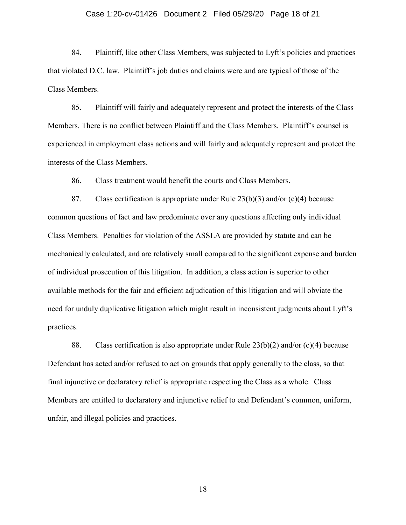### Case 1:20-cv-01426 Document 2 Filed 05/29/20 Page 18 of 21

84. Plaintiff, like other Class Members, was subjected to Lyft's policies and practices that violated D.C. law. Plaintiff's job duties and claims were and are typical of those of the Class Members.

85. Plaintiff will fairly and adequately represent and protect the interests of the Class Members. There is no conflict between Plaintiff and the Class Members. Plaintiff's counsel is experienced in employment class actions and will fairly and adequately represent and protect the interests of the Class Members.

86. Class treatment would benefit the courts and Class Members.

87. Class certification is appropriate under Rule  $23(b)(3)$  and/or (c)(4) because common questions of fact and law predominate over any questions affecting only individual Class Members. Penalties for violation of the ASSLA are provided by statute and can be mechanically calculated, and are relatively small compared to the significant expense and burden of individual prosecution of this litigation. In addition, a class action is superior to other available methods for the fair and efficient adjudication of this litigation and will obviate the need for unduly duplicative litigation which might result in inconsistent judgments about Lyft's practices.

88. Class certification is also appropriate under Rule  $23(b)(2)$  and/or (c)(4) because Defendant has acted and/or refused to act on grounds that apply generally to the class, so that final injunctive or declaratory relief is appropriate respecting the Class as a whole. Class Members are entitled to declaratory and injunctive relief to end Defendant's common, uniform, unfair, and illegal policies and practices.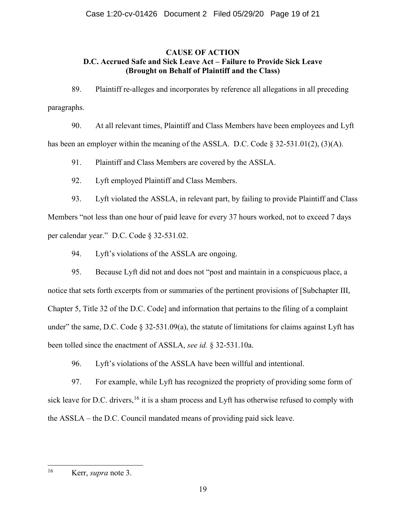### **CAUSE OF ACTION D.C. Accrued Safe and Sick Leave Act – Failure to Provide Sick Leave (Brought on Behalf of Plaintiff and the Class)**

89. Plaintiff re-alleges and incorporates by reference all allegations in all preceding paragraphs.

90. At all relevant times, Plaintiff and Class Members have been employees and Lyft has been an employer within the meaning of the ASSLA. D.C. Code  $\S 32-531.01(2)$ ,  $(\frac{3}{A})$ .

91. Plaintiff and Class Members are covered by the ASSLA.

92. Lyft employed Plaintiff and Class Members.

93. Lyft violated the ASSLA, in relevant part, by failing to provide Plaintiff and Class Members "not less than one hour of paid leave for every 37 hours worked, not to exceed 7 days per calendar year." D.C. Code § 32-531.02.

94. Lyft's violations of the ASSLA are ongoing.

95. Because Lyft did not and does not "post and maintain in a conspicuous place, a notice that sets forth excerpts from or summaries of the pertinent provisions of [Subchapter III, Chapter 5, Title 32 of the D.C. Code] and information that pertains to the filing of a complaint under" the same, D.C. Code  $\S 32-531.09(a)$ , the statute of limitations for claims against Lyft has been tolled since the enactment of ASSLA, *see id.* § 32-531.10a.

96. Lyft's violations of the ASSLA have been willful and intentional.

97. For example, while Lyft has recognized the propriety of providing some form of sick leave for D.C. drivers,  $^{16}$  $^{16}$  $^{16}$  it is a sham process and Lyft has otherwise refused to comply with the ASSLA – the D.C. Council mandated means of providing paid sick leave.

<span id="page-18-0"></span> $16$ Kerr, *supra* note 3.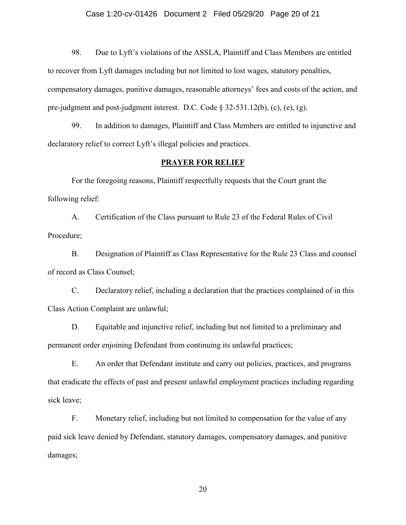### Case 1:20-cv-01426 Document 2 Filed 05/29/20 Page 20 of 21

98. Due to Lyft's violations of the ASSLA, Plaintiff and Class Members are entitled to recover from Lyft damages including but not limited to lost wages, statutory penalties, compensatory damages, punitive damages, reasonable attorneys' fees and costs of the action, and pre-judgment and post-judgment interest. D.C. Code § 32-531.12(b), (c), (e), (g).

99. In addition to damages, Plaintiff and Class Members are entitled to injunctive and declaratory relief to correct Lyft's illegal policies and practices.

### **PRAYER FOR RELIEF**

For the foregoing reasons, Plaintiff respectfully requests that the Court grant the following relief:

A. Certification of the Class pursuant to Rule 23 of the Federal Rules of Civil Procedure;

B. Designation of Plaintiff as Class Representative for the Rule 23 Class and counsel of record as Class Counsel;

C. Declaratory relief, including a declaration that the practices complained of in this Class Action Complaint are unlawful;

D. Equitable and injunctive relief, including but not limited to a preliminary and permanent order enjoining Defendant from continuing its unlawful practices;

E. An order that Defendant institute and carry out policies, practices, and programs that eradicate the effects of past and present unlawful employment practices including regarding sick leave;

F. Monetary relief, including but not limited to compensation for the value of any paid sick leave denied by Defendant, statutory damages, compensatory damages, and punitive damages;